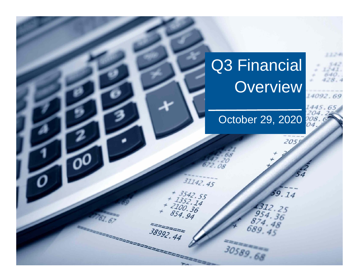# Q3 Financial **Overview**

王杰

14092.69

# October 29, 2020

 $31142.45$ 

 $+ 3542.55$ <br> $+ 352.14$ <br> $- 2100.36$ <br>854.94

 $38992.44$ 

205

59.14

4312.25

30589.68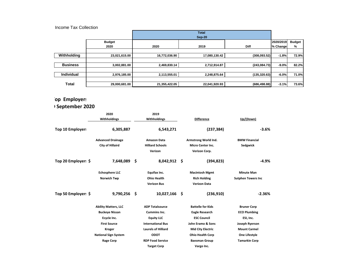#### Income Tax Collection

|                   |               |               | <b>Total</b><br>Sep-20 |               |           |               |
|-------------------|---------------|---------------|------------------------|---------------|-----------|---------------|
|                   | <b>Budget</b> |               |                        |               | 2020/2019 | <b>Budget</b> |
|                   | 2020          | 2020          | 2019                   | <b>Diff</b>   | % Change  | %             |
|                   |               |               |                        |               |           |               |
| Withholding       | 23,021,615.00 | 16,772,036.90 | 17,080,130.42          | (308,093.52)  | $-1.8%$   | 72.9%         |
|                   |               |               |                        |               |           |               |
| <b>Business</b>   | 3,002,881.00  | 2,469,830.14  | 2,712,914.87           | (243, 084.73) | $-9.0%$   | 82.2%         |
|                   |               |               |                        |               |           |               |
| <b>Individual</b> | 2,976,185.00  | 2,113,555.01  | 2,248,875.64           | (135, 320.63) | $-6.0%$   | 71.0%         |
|                   |               |               |                        |               |           |               |
| <b>Total</b>      | 29,000,681.00 | 21,355,422.05 | 22,041,920.93          | (686, 498.88) | $-3.1%$   | 73.6%         |

## **Top Employers**

## **September 2020**

|                     | 2020                        |           | 2019                       |                          |                           |  |
|---------------------|-----------------------------|-----------|----------------------------|--------------------------|---------------------------|--|
|                     | Withholdings                |           | Withholdings               | <b>Difference</b>        | Up/(Down)                 |  |
| Top 10 Employers    | 6,305,887                   | 6,543,271 |                            | (237, 384)               | $-3.6%$                   |  |
|                     | <b>Advanced Drainage</b>    |           | <b>Amazon Data</b>         | Armstrong World Ind.     | <b>BMW Financial</b>      |  |
|                     | <b>City of Hillaird</b>     |           | <b>Hilliard Schools</b>    | <b>Micro Center Inc.</b> | Sedgwick                  |  |
|                     |                             |           | Verizon                    | Verizon Corp.            |                           |  |
| Top 20 Employer: \$ | 7,648,089                   | \$        | $8,042,912$ \$             | (394, 823)               | $-4.9%$                   |  |
|                     | <b>Echosphere LLC</b>       |           | Equifax Inc.               | <b>Macintosh Mgmt</b>    | <b>Minute Man</b>         |  |
|                     | <b>Norwich Twp</b>          |           | <b>Ohio Health</b>         | <b>Rich Holding</b>      | <b>Sutphen Towers Inc</b> |  |
|                     |                             |           | <b>Verizon Bus</b>         | <b>Verizon Data</b>      |                           |  |
| Top 50 Employer: \$ | 9,790,256                   | \$        | $10,027,166$ \$            | (236, 910)               | $-2.36%$                  |  |
|                     | <b>Ability Matters, LLC</b> |           | <b>ADP Totalsource</b>     | <b>Battelle for Kids</b> | <b>Bruner Corp</b>        |  |
|                     | <b>Buckeye Nissan</b>       |           | Cummins Inc.               | <b>Eagle Research</b>    | <b>ECO Plumbing</b>       |  |
|                     | Ecycle Inc.                 |           | <b>Equity LLC</b>          | <b>ESC Council</b>       | ESI, Inc.                 |  |
|                     | <b>First Source</b>         |           | <b>International Bus</b>   | John Eramo & Sons        | Joseph Ryerson            |  |
|                     | <b>Kroger</b>               |           | <b>Laurels of Hilliard</b> | <b>Mid City Electric</b> | <b>Mount Carmel</b>       |  |
|                     | <b>National Sign System</b> |           | <b>ODOT</b>                | <b>Ohio Health Corp</b>  | One Lifestyle             |  |
|                     | <b>Rage Corp</b>            |           | <b>RDP Food Service</b>    | <b>Baesman Group</b>     | <b>Tamarkin Corp</b>      |  |
|                     |                             |           | <b>Target Corp</b>         | Vargo Inc.               |                           |  |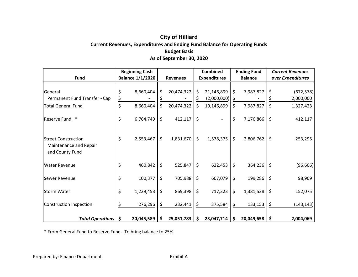#### **City of Hilliard Current Revenues, Expenditures and Ending Fund Balance for Operating Funds Budget Basis As of September 30, 2020**

|                                                                         | <b>Beginning Cash</b>   |                  |         | <b>Combined</b>     |         | <b>Ending Fund</b> |         | <b>Current Revenues</b> |
|-------------------------------------------------------------------------|-------------------------|------------------|---------|---------------------|---------|--------------------|---------|-------------------------|
| <b>Fund</b>                                                             | <b>Balance 1/1/2020</b> | <b>Revenues</b>  |         | <b>Expenditures</b> |         | <b>Balance</b>     |         | over Expenditures       |
| General                                                                 | \$<br>8,660,404         | \$<br>20,474,322 | \$      | 21,146,899          | Ŝ.      | 7,987,827          | \$      | (672, 578)              |
| Permanent Fund Transfer - Cap                                           | \$                      |                  |         | (2,000,000)         | -Ş      |                    |         | 2,000,000               |
| <b>Total General Fund</b>                                               | \$<br>8,660,404         | \$<br>20,474,322 | \$      | 19,146,899          | \$      | 7,987,827          | \$      | 1,327,423               |
| Reserve Fund *                                                          | \$<br>6,764,749         | \$<br>412,117    | \$      |                     | \$      | 7,176,866          | $\zeta$ | 412,117                 |
| <b>Street Construction</b><br>Maintenance and Repair<br>and County Fund | \$<br>2,553,467         | \$<br>1,831,670  | $\zeta$ | 1,578,375           | \$      | 2,806,762          | $\zeta$ | 253,295                 |
| <b>Water Revenue</b>                                                    | \$<br>460,842           | \$<br>525,847    | \$      | 622,453             | $\zeta$ | 364,236            | \$      | (96, 606)               |
| Sewer Revenue                                                           | \$<br>100,377           | \$<br>705,988    | \$      | 607,079             | \$      | 199,286            | $\zeta$ | 98,909                  |
| <b>Storm Water</b>                                                      | \$<br>1,229,453         | \$<br>869,398    | \$      | 717,323             | \$      | 1,381,528          | \$      | 152,075                 |
| <b>Construction Inspection</b>                                          | 276,296                 | \$<br>232,441    | \$      | 375,584             | \$.     | 133,153            | \$      | (143, 143)              |
| <b>Total Operations</b>                                                 | \$<br>20,045,589        | \$<br>25,051,783 | S       | 23,047,714          | \$      | 20,049,658         | -\$     | 2,004,069               |

\* From General Fund to Reserve Fund - To bring balance to 25%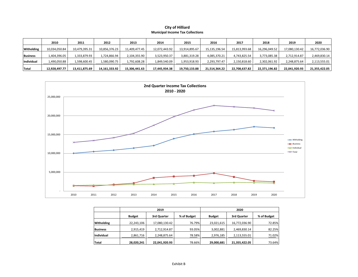#### **City of Hilliard Municipal Income Tax Collections**

|                   | 2010          | 2011          | 2012             | 2013          | 2014          | 2015          | 2016          | 2017          | 2018          | 2019          | 2020          |
|-------------------|---------------|---------------|------------------|---------------|---------------|---------------|---------------|---------------|---------------|---------------|---------------|
| <b>Witholding</b> | 10,034,050.84 | 10,479,395.31 | 10,856,376.23    | 11,409,477.45 | 12,072,443.92 | 13,914,895.67 | 15,135,196.54 | 15,813,993.68 | 16,296,049.52 | 17,080,130.42 | 16,772,036.90 |
| <b>Business</b>   | 1,404,396.05  | 1,333,879.93  | 1,724,866.94     | 2,104,355.90  | 3,523,950.37  | 3,881,319.28  | 4,085,370.21  | 4,743,825.54  | 3,773,085.38  | 2,712,914.87  | 2,469,830.14  |
| Individual        | 1,490,050.88  | 1,598,600.45  | 1,580,090.75     | 1,792,608.28  | 1,849,540.09  | 1,953,918.93  | 2,293,797.47  | 2,150,818.60  | 2,302,061.92  | 2,248,875.64  | 2,113,555.01  |
| Total             | 12,928,497.77 | 13,411,875.69 | 14, 161, 333. 92 | 15,306,441.63 | 17,445,934.38 | 19,750,133.88 | 21,514,364.22 | 22,708,637.82 | 22,371,196.82 | 22,041,920.93 | 21,355,422.05 |



|                 |               | 2019          |             | 2020          |               |             |  |  |  |
|-----------------|---------------|---------------|-------------|---------------|---------------|-------------|--|--|--|
|                 | <b>Budget</b> | 3rd Quarter   | % of Budget | <b>Budget</b> | 3rd Quarter   | % of Budget |  |  |  |
| Witholding      | 22,243,106    | 17,080,130.42 | 76.79%      | 23,021,615    | 16,772,036.90 | 72.85%      |  |  |  |
| <b>Business</b> | 2,915,419     | 2,712,914.87  | 93.05%      | 3,002,881     | 2,469,830.14  | 82.25%      |  |  |  |
| Individual      | 2,861,716     | 2,248,875.64  | 78.58%      | 2,976,185     | 2,113,555.01  | 71.02%      |  |  |  |
| Total           | 28,020,241    | 22,041,920.93 | 78.66%      | 29,000,681    | 21,355,422.05 | 73.64%      |  |  |  |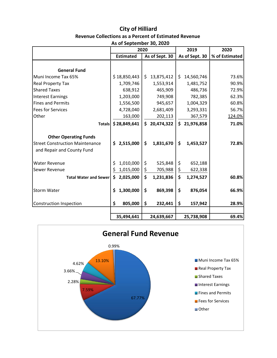#### **City of Hilliard Revenue Collections as a Percent of Estimated Revenue As of September 30, 2020**

|                                                                      | 2020 |                  |               |                | 2019             | 2020           |  |
|----------------------------------------------------------------------|------|------------------|---------------|----------------|------------------|----------------|--|
|                                                                      |      | <b>Estimated</b> |               | As of Sept. 30 | As of Sept. 30   | % of Estimated |  |
|                                                                      |      |                  |               |                |                  |                |  |
| <b>General Fund</b>                                                  |      |                  |               |                |                  |                |  |
| Muni Income Tax 65%                                                  |      | \$18,850,443     | \$            | 13,875,412     | \$<br>14,560,746 | 73.6%          |  |
| Real Property Tax                                                    |      | 1,709,746        |               | 1,553,914      | 1,481,752        | 90.9%          |  |
| <b>Shared Taxes</b>                                                  |      | 638,912          |               | 465,909        | 486,736          | 72.9%          |  |
| <b>Interest Earnings</b>                                             |      | 1,203,000        |               | 749,908        | 782,385          | 62.3%          |  |
| <b>Fines and Permits</b>                                             |      | 1,556,500        |               | 945,657        | 1,004,329        | 60.8%          |  |
| <b>Fees for Services</b>                                             |      | 4,728,040        |               | 2,681,409      | 3,293,331        | 56.7%          |  |
| Other                                                                |      | 163,000          |               | 202,113        | 367,579          | 124.0%         |  |
| <b>Totals</b>                                                        |      | \$28,849,641     | \$            | 20,474,322     | \$21,976,858     | 71.0%          |  |
| <b>Other Operating Funds</b>                                         |      |                  |               |                |                  |                |  |
| <b>Street Construction Maintenance</b><br>and Repair and County Fund | \$   | 2,515,000        | \$            | 1,831,670      | \$<br>1,453,527  | 72.8%          |  |
| <b>Water Revenue</b>                                                 | \$   | 1,010,000        | \$            | 525,848        | \$<br>652,188    |                |  |
| Sewer Revenue                                                        | \$   | 1,015,000        | $\frac{1}{2}$ | 705,988        | \$<br>622,338    |                |  |
| <b>Total Water and Sewerl</b>                                        | \$   | 2,025,000        | \$            | 1,231,836      | \$<br>1,274,527  | 60.8%          |  |
| <b>Storm Water</b>                                                   | \$   | 1,300,000        | \$            | 869,398        | \$<br>876,054    | 66.9%          |  |
| <b>Construction Inspection</b>                                       | \$   | 805,000          | \$            | 232,441        | \$<br>157,942    | 28.9%          |  |
|                                                                      |      | 35,494,641       |               | 24,639,667     | 25,738,908       | 69.4%          |  |